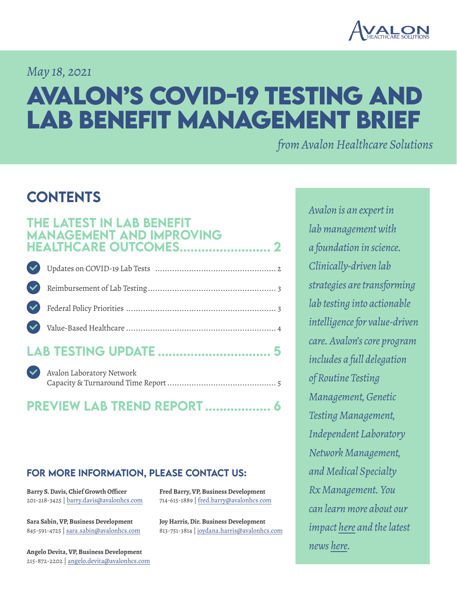

### *May 18, 2021*

# **Avalon's COVID-19 Testing and Lab Benefit Management Brief**

*from Avalon Healthcare Solutions*

# **CONTENTS**

### The latest in lab benefit [management and improving](#page-1-0)  **HEALTHCARE OUTCOMES.....**

| LAB TESTING UPDATE  5 |  |
|-----------------------|--|

| V Avalon Laboratory Network |  |
|-----------------------------|--|
| RREVIEW LI R TREVIR RERART  |  |

### [preview lab trend report](#page-5-0) .................. 6

### for more information, please contact us:

**Barry S. Davis, Chief Growth Officer** 201-218-3425 | barry.davis@avalonhcs.com

**Sara Sabin, VP, Business Development** 845-591-4725 | sara.sabin@avalonhcs.com

**Angelo Devita, VP, Business Development** 215-872-2202 | angelo.devita@avalonhcs.com **Fred Barry, VP, Business Development** 714-615-1889 | fred.barry@avalonhcs.com

**Joy Harris, Dir. Business Development** 813-751-3814 | joydana.harris@avalonhcs.com *Avalon is an expert in lab management with a foundation in science. Clinically-driven lab strategies are transforming lab testing into actionable intelligence for value-driven care. Avalon's core program includes a full delegation of Routine Testing Management, Genetic Testing Management, Independent Laboratory Network Management, and Medical Specialty Rx Management. You can learn more about our impact [here](https://www.avalonhcs.com/customers/index.html) and the latest news [here.](https://www.avalonhcs.com/company/index.html)*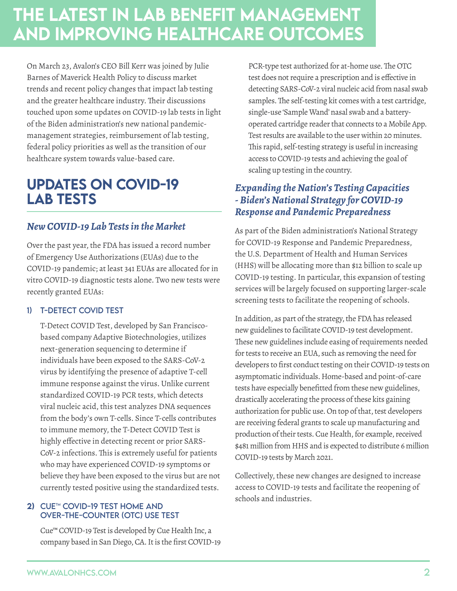# <span id="page-1-0"></span>The latest in lab benefit management and improving healthcare outcomes

On March 23, Avalon's CEO Bill Kerr was joined by Julie Barnes of Maverick Health Policy to discuss market trends and recent policy changes that impact lab testing and the greater healthcare industry. Their discussions touched upon some updates on COVID-19 lab tests in light of the Biden administration's new national pandemicmanagement strategies, reimbursement of lab testing, federal policy priorities as well as the transition of our healthcare system towards value-based care.

## Updates on COVID-19 Lab Tests

### *New COVID-19 Lab Tests in the Market*

Over the past year, the FDA has issued a record number of Emergency Use Authorizations (EUAs) due to the COVID-19 pandemic; at least 341 EUAs are allocated for in vitro COVID-19 diagnostic tests alone. Two new tests were recently granted EUAs:

### 1) T-Detect COVID Test

T-Detect COVID Test, developed by San Franciscobased company Adaptive Biotechnologies, utilizes next-generation sequencing to determine if individuals have been exposed to the SARS-CoV-2 virus by identifying the presence of adaptive T-cell immune response against the virus. Unlike current standardized COVID-19 PCR tests, which detects viral nucleic acid, this test analyzes DNA sequences from the body's own T-cells. Since T-cells contributes to immune memory, the T-Detect COVID Test is highly effective in detecting recent or prior SARS-CoV-2 infections. This is extremely useful for patients who may have experienced COVID-19 symptoms or believe they have been exposed to the virus but are not currently tested positive using the standardized tests.

#### 2) CUE™ COVID-19 TEST HOME AND Over-the-Counter (OTC) Use Test

Cue™ COVID-19 Test is developed by Cue Health Inc, a company based in San Diego, CA. It is the first COVID-19

PCR-type test authorized for at-home use. The OTC test does not require a prescription and is effective in detecting SARS-CoV-2 viral nucleic acid from nasal swab samples. The self-testing kit comes with a test cartridge, single-use 'Sample Wand' nasal swab and a batteryoperated cartridge reader that connects to a Mobile App. Test results are available to the user within 20 minutes. This rapid, self-testing strategy is useful in increasing access to COVID-19 tests and achieving the goal of scaling up testing in the country.

### *Expanding the Nation's Testing Capacities - Biden's National Strategy for COVID-19 Response and Pandemic Preparedness*

As part of the Biden administration's National Strategy for COVID-19 Response and Pandemic Preparedness, the U.S. Department of Health and Human Services (HHS) will be allocating more than \$12 billion to scale up COVID-19 testing. In particular, this expansion of testing services will be largely focused on supporting larger-scale screening tests to facilitate the reopening of schools.

In addition, as part of the strategy, the FDA has released new guidelines to facilitate COVID-19 test development. These new guidelines include easing of requirements needed for tests to receive an EUA, such as removing the need for developers to first conduct testing on their COVID-19 tests on asymptomatic individuals. Home-based and point-of-care tests have especially benefitted from these new guidelines, drastically accelerating the process of these kits gaining authorization for public use. On top of that, test developers are receiving federal grants to scale up manufacturing and production of their tests. Cue Health, for example, received \$481 million from HHS and is expected to distribute 6 million COVID-19 tests by March 2021.

Collectively, these new changes are designed to increase access to COVID-19 tests and facilitate the reopening of schools and industries.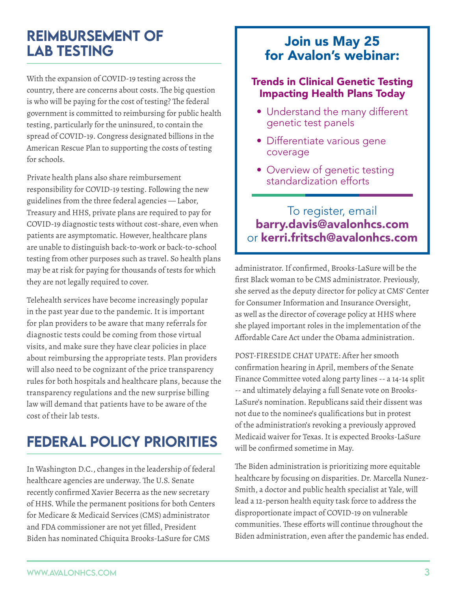## <span id="page-2-0"></span>Reimbursement of Lab Testing

With the expansion of COVID-19 testing across the country, there are concerns about costs. The big question is who will be paying for the cost of testing? The federal government is committed to reimbursing for public health testing, particularly for the uninsured, to contain the spread of COVID-19. Congress designated billions in the American Rescue Plan to supporting the costs of testing for schools.

Private health plans also share reimbursement responsibility for COVID-19 testing. Following the new guidelines from the three federal agencies — Labor, Treasury and HHS, private plans are required to pay for COVID-19 diagnostic tests without cost-share, even when patients are asymptomatic. However, healthcare plans are unable to distinguish back-to-work or back-to-school testing from other purposes such as travel. So health plans may be at risk for paying for thousands of tests for which they are not legally required to cover.

Telehealth services have become increasingly popular in the past year due to the pandemic. It is important for plan providers to be aware that many referrals for diagnostic tests could be coming from those virtual visits, and make sure they have clear policies in place about reimbursing the appropriate tests. Plan providers will also need to be cognizant of the price transparency rules for both hospitals and healthcare plans, because the transparency regulations and the new surprise billing law will demand that patients have to be aware of the cost of their lab tests.

# Federal Policy Priorities

In Washington D.C., changes in the leadership of federal healthcare agencies are underway. The U.S. Senate recently confirmed Xavier Becerra as the new secretary of HHS. While the permanent positions for both Centers for Medicare & Medicaid Services (CMS) administrator and FDA commissioner are not yet filled, President Biden has nominated Chiquita Brooks-LaSure for CMS

### Join us May 25 for Avalon's webinar:

### Trends in Clinical Genetic Testing Impacting Health Plans Today

- Understand the many different genetic test panels
- Differentiate various gene coverage
- Overview of genetic testing standardization efforts

### To register, email barry.davis@avalonhcs.com or kerri.fritsch@avalonhcs.com

administrator. If confirmed, Brooks-LaSure will be the first Black woman to be CMS administrator. Previously, she served as the deputy director for policy at CMS' Center for Consumer Information and Insurance Oversight, as well as the director of coverage policy at HHS where she played important roles in the implementation of the Affordable Care Act under the Obama administration.

POST-FIRESIDE CHAT UPATE: After her smooth confirmation hearing in April, members of the Senate Finance Committee voted along party lines -- a 14-14 split -- and ultimately delaying a full Senate vote on Brooks-LaSure's nomination. Republicans said their dissent was not due to the nominee's qualifications but in protest of the administration's revoking a previously approved Medicaid waiver for Texas. It is expected Brooks-LaSure will be confirmed sometime in May.

The Biden administration is prioritizing more equitable healthcare by focusing on disparities. Dr. Marcella Nunez-Smith, a doctor and public health specialist at Yale, will lead a 12-person health equity task force to address the disproportionate impact of COVID-19 on vulnerable communities. These efforts will continue throughout the Biden administration, even after the pandemic has ended.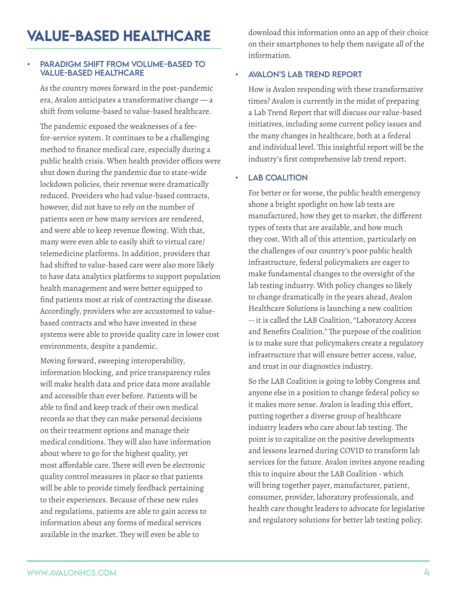#### <span id="page-3-0"></span>PARADIGM SHIFT FROM VOLUME-BASED TO value-based healthcare

As the country moves forward in the post-pandemic era, Avalon anticipates a transformative change — a shift from volume-based to value-based healthcare.

The pandemic exposed the weaknesses of a feefor-service system. It continues to be a challenging method to finance medical care, especially during a public health crisis. When health provider offices were shut down during the pandemic due to state-wide lockdown policies, their revenue were dramatically reduced. Providers who had value-based contracts, however, did not have to rely on the number of patients seen or how many services are rendered, and were able to keep revenue flowing. With that, many were even able to easily shift to virtual care/ telemedicine platforms. In addition, providers that had shifted to value-based care were also more likely to have data analytics platforms to support population health management and were better equipped to find patients most at risk of contracting the disease. Accordingly, providers who are accustomed to valuebased contracts and who have invested in these systems were able to provide quality care in lower cost environments, despite a pandemic.

Moving forward, sweeping interoperability, information blocking, and price transparency rules will make health data and price data more available and accessible than ever before. Patients will be able to find and keep track of their own medical records so that they can make personal decisions on their treatment options and manage their medical conditions. They will also have information about where to go for the highest quality, yet most affordable care. There will even be electronic quality control measures in place so that patients will be able to provide timely feedback pertaining to their experiences. Because of these new rules and regulations, patients are able to gain access to information about any forms of medical services available in the market. They will even be able to

download this information onto an app of their choice on their smartphones to help them navigate all of the information.

#### • Avalon's Lab Trend Report

How is Avalon responding with these transformative times? Avalon is currently in the midst of preparing a Lab Trend Report that will discuss our value-based initiatives, including some current policy issues and the many changes in healthcare, both at a federal and individual level. This insightful report will be the industry's first comprehensive lab trend report.

#### **LAB COALITION**

For better or for worse, the public health emergency shone a bright spotlight on how lab tests are manufactured, how they get to market, the different types of tests that are available, and how much they cost. With all of this attention, particularly on the challenges of our country's poor public health infrastructure, federal policymakers are eager to make fundamental changes to the oversight of the lab testing industry. With policy changes so likely to change dramatically in the years ahead, Avalon Healthcare Solutions is launching a new coalition -- it is called the LAB Coalition, "Laboratory Access and Benefits Coalition." The purpose of the coalition is to make sure that policymakers create a regulatory infrastructure that will ensure better access, value, and trust in our diagnostics industry.

So the LAB Coalition is going to lobby Congress and anyone else in a position to change federal policy so it makes more sense. Avalon is leading this effort, putting together a diverse group of healthcare industry leaders who care about lab testing. The point is to capitalize on the positive developments and lessons learned during COVID to transform lab services for the future. Avalon invites anyone reading this to inquire about the LAB Coalition - which will bring together payer, manufacturer, patient, consumer, provider, laboratory professionals, and health care thought leaders to advocate for legislative and regulatory solutions for better lab testing policy.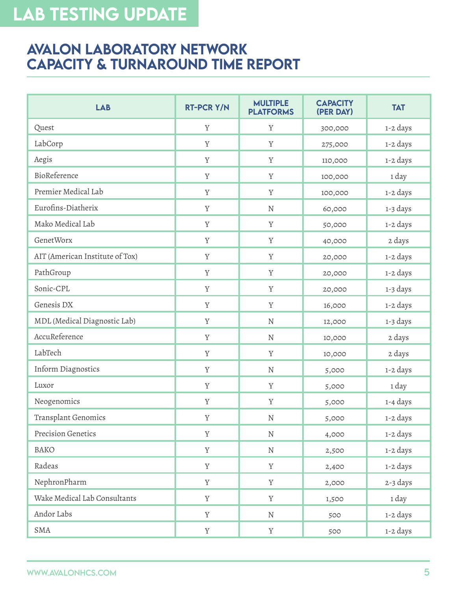# <span id="page-4-0"></span>Lab TESTING UPDATE

### Avalon Laboratory Network Capacity & Turnaround Time Report

| <b>LAB</b>                      | <b>RT-PCR Y/N</b> | <b>MULTIPLE</b><br><b>PLATFORMS</b> | <b>CAPACITY</b><br>(PER DAY) | <b>TAT</b> |
|---------------------------------|-------------------|-------------------------------------|------------------------------|------------|
| Quest                           | Y                 | Y                                   | 300,000                      | 1-2 days   |
| LabCorp                         | Y                 | Y                                   | 275,000                      | 1-2 days   |
| Aegis                           | $\mathbf Y$       | Y                                   | 110,000                      | 1-2 days   |
| BioReference                    | Y                 | Y                                   | 100,000                      | 1 day      |
| Premier Medical Lab             | $\mathbf Y$       | $\mathbf Y$                         | 100,000                      | 1-2 days   |
| Eurofins-Diatherix              | Y                 | ${\rm N}$                           | 60,000                       | 1-3 days   |
| Mako Medical Lab                | Y                 | Y                                   | 50,000                       | 1-2 days   |
| GenetWorx                       | $\mathbf Y$       | Y                                   | 40,000                       | 2 days     |
| AIT (American Institute of Tox) | Y                 | Y                                   | 20,000                       | 1-2 days   |
| PathGroup                       | $\mathbf Y$       | $\mathbf Y$                         | 20,000                       | 1-2 days   |
| Sonic-CPL                       | Y                 | Y                                   | 20,000                       | 1-3 days   |
| Genesis DX                      | Y                 | Y                                   | 16,000                       | 1-2 days   |
| MDL (Medical Diagnostic Lab)    | $\mathbf Y$       | ${\bf N}$                           | 12,000                       | 1-3 days   |
| AccuReference                   | Y                 | ${\rm N}$                           | 10,000                       | 2 days     |
| LabTech                         | Y                 | $\mathbf Y$                         | 10,000                       | 2 days     |
| Inform Diagnostics              | Y                 | ${\rm N}$                           | 5,000                        | 1-2 days   |
| Luxor                           | Y                 | Y                                   | 5,000                        | 1 day      |
| Neogenomics                     | $\mathbf Y$       | Y                                   | 5,000                        | 1-4 days   |
| Transplant Genomics             | Y                 | ${\bf N}$                           | 5,000                        | 1-2 days   |
| Precision Genetics              | $\mathbf Y$       | ${\bf N}$                           | 4,000                        | 1-2 days   |
| BAKO                            | $\mathbf Y$       | ${\bf N}$                           | 2,500                        | 1-2 days   |
| Radeas                          | Y                 | Y                                   | 2,400                        | 1-2 days   |
| NephronPharm                    | $\mathbf Y$       | $\mathbf Y$                         | 2,000                        | 2-3 days   |
| Wake Medical Lab Consultants    | $\mathbf Y$       | Y                                   | 1,500                        | 1 day      |
| Andor Labs                      | $\mathbf Y$       | ${\bf N}$                           | 500                          | 1-2 days   |
| SMA                             | $\mathbf Y$       | $\mathbf Y$                         | 500                          | 1-2 days   |